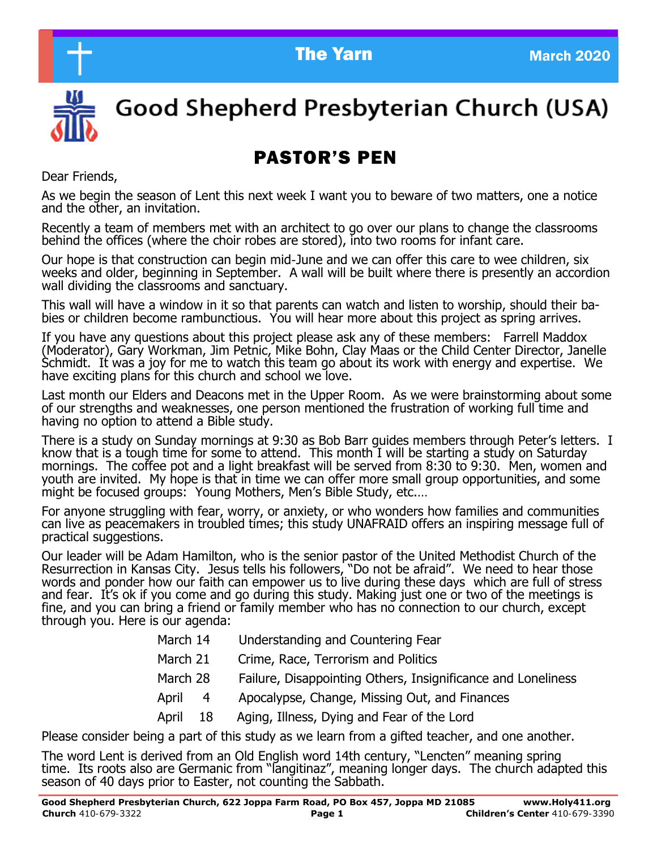



# Good Shepherd Presbyterian Church (USA)

# PASTOR'S PEN

Dear Friends,

As we begin the season of Lent this next week I want you to beware of two matters, one a notice and the other, an invitation.

Recently a team of members met with an architect to go over our plans to change the classrooms behind the offices (where the choir robes are stored), into two rooms for infant care.

Our hope is that construction can begin mid-June and we can offer this care to wee children, six weeks and older, beginning in September. A wall will be built where there is presently an accordion wall dividing the classrooms and sanctuary.

This wall will have a window in it so that parents can watch and listen to worship, should their babies or children become rambunctious. You will hear more about this project as spring arrives.

If you have any questions about this project please ask any of these members: Farrell Maddox (Moderator), Gary Workman, Jim Petnic, Mike Bohn, Clay Maas or the Child Center Director, Janelle Schmidt. It was a joy for me to watch this team go about its work with energy and expertise. We have exciting plans for this church and school we love.

Last month our Elders and Deacons met in the Upper Room. As we were brainstorming about some of our strengths and weaknesses, one person mentioned the frustration of working full time and having no option to attend a Bible study.

There is a study on Sunday mornings at 9:30 as Bob Barr guides members through Peter's letters. I know that is a tough time for some to attend. This month I will be starting a study on Saturday mornings. The coffee pot and a light breakfast will be served from 8:30 to 9:30. Men, women and youth are invited. My hope is that in time we can offer more small group opportunities, and some might be focused groups: Young Mothers, Men's Bible Study, etc...

For anyone struggling with fear, worry, or anxiety, or who wonders how families and communities can live as peacemakers in troubled times; this study UNAFRAID offers an inspiring message full of practical suggestions.

Our leader will be Adam Hamilton, who is the senior pastor of the United Methodist Church of the Resurrection in Kansas City. Jesus tells his followers, "Do not be afraid". We need to hear those words and ponder how our faith can empower us to live during these days which are full of stress and fear. It's ok if you come and go during this study. Making just one or two of the meetings is fine, and you can bring a friend or family member who has no connection to our church, except through you. Here is our agenda:

- March 14 Understanding and Countering Fear
- March 21 Crime, Race, Terrorism and Politics
- March 28 Failure, Disappointing Others, Insignificance and Loneliness
- April 4 Apocalypse, Change, Missing Out, and Finances
- April 18 Aging, Illness, Dying and Fear of the Lord

Please consider being a part of this study as we learn from a gifted teacher, and one another.

The word Lent is derived from an Old English word 14th century, "Lencten" meaning spring time. Its roots also are Germanic from "langitinaz", meaning longer days. The church adapted this season of 40 days prior to Easter, not counting the Sabbath.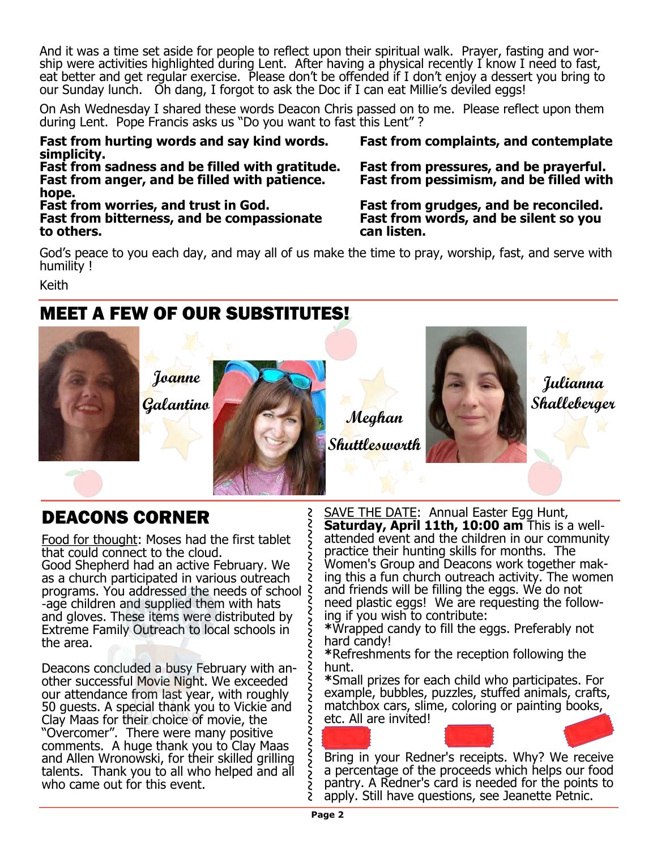And it was a time set aside for people to reflect upon their spiritual walk. Prayer, fasting and wor-<br>ship ware astivities highlighted during Lept. After having a physical reseptive know I peed to fast ship were activities highlighted during Lent. After having a physical recently I know I need to fast, eat better and get regular exercise. Please don't be offended if I don't enjoy a dessert you bring to our Sunday lunch. Oh dang, I forgot to ask the Doc if I can eat Millie's deviled eggs!

On Ash Wednesday I shared these words Deacon Chris passed on to me. Please reflect upon them during Lent. Pope Francis asks us "Do you want to fast this Lent" ?

**Fast from hurting words and say kind words. Fast from complaints, and contemplate simplicity.**

**Fast from anger, and be filled with patience. Fast from pessimism, and be filled with hope.**

**Fast from worries, and trust in God. Fast from grudges, and be reconciled. Fast from bitterness, and be compassionate Fast from words, and be silent so you to others. can listen.**

**Fast from sadness and be filled with gratitude. Fast from pressures, and be prayerful.**

God's peace to you each day, and may all of us make the time to pray, worship, fast, and serve with humility !

Keith

# MEET A FEW OF OUR SUBSTITUTES!



2<br>2

Š

S

# DEACONS CORNER

Food for thought: Moses had the first tablet that could connect to the cloud.

Good Shepherd had an active February. We as a church participated in various outreach programs. You addressed the needs of school -age children and supplied them with hats and gloves. These items were distributed by Extreme Family Outreach to local schools in the area.

Deacons concluded a busy February with another successful Movie Night. We exceeded our attendance from last year, with roughly 50 guests. A special thank you to Vickie and Clay Maas for their choice of movie, the "Overcomer". There were many positive comments. A huge thank you to Clay Maas and Allen Wronowski, for their skilled grilling talents. Thank you to all who helped and all who came out for this event.

~~~~~~~~~~~~~~~~~~~~~~~~~~~ SAVE THE DATE: Annual Easter Egg Hunt, **Saturday, April 11th, 10:00 am** This is a wellattended event and the children in our community practice their hunting skills for months. The Women's Group and Deacons work together making this a fun church outreach activity. The women and friends will be filling the eggs. We do not need plastic eggs! We are requesting the following if you wish to contribute:

**\***Wrapped candy to fill the eggs. Preferably not hard candy!

**\***Refreshments for the reception following the hunt.

**\***Small prizes for each child who participates. For example, bubbles, puzzles, stuffed animals, crafts, matchbox cars, slime, coloring or painting books, etc. All are invited!

Bring in your Redner's receipts. Why? We receive a percentage of the proceeds which helps our food pantry. A Redner's card is needed for the points to apply. Still have questions, see Jeanette Petnic.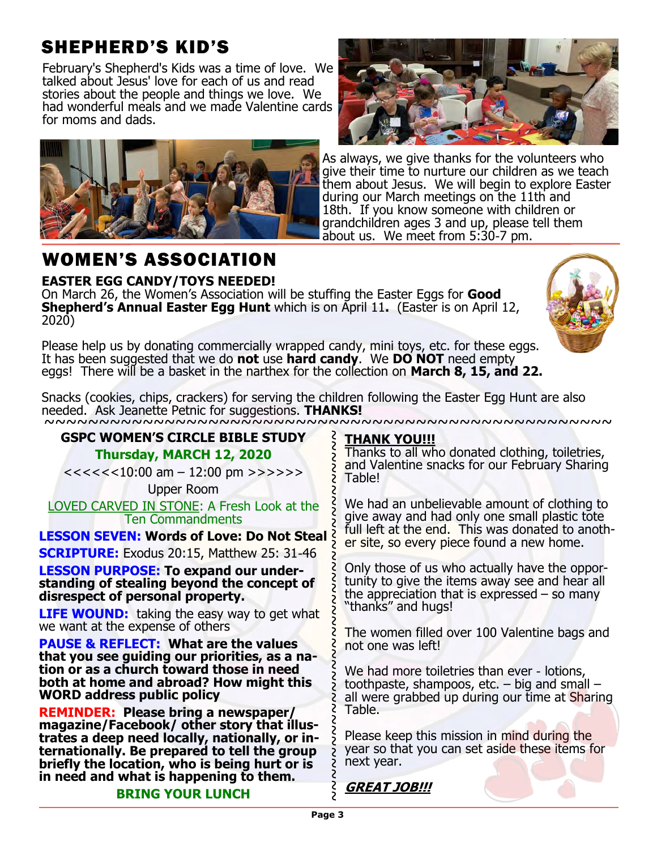# SHEPHERD'S KID'S

February's Shepherd's Kids was a time of love. We talked about Jesus' love for each of us and read stories about the people and things we love. We had wonderful meals and we made Valentine cards for moms and dads.



# WOMEN'S ASSOCIATION

**EASTER EGG CANDY/TOYS NEEDED!**

On March 26, the Women's Association will be stuffing the Easter Eggs for **Good Shepherd's Annual Easter Egg Hunt** which is on April 11**.** (Easter is on April 12, 2020)

Please help us by donating commercially wrapped candy, mini toys, etc. for these eggs. It has been suggested that we do **not** use **hard candy**. We **DO NOT** need empty eggs! There will be a basket in the narthex for the collection on **March 8, 15, and 22.**



March 2020

~~~~~~~~~~~~~~~~~~~~~~~~~~~~~ Snacks (cookies, chips, crackers) for serving the children following the Easter Egg Hunt are also needed. Ask Jeanette Petnic for suggestions. **THANKS!**

### **GSPC WOMEN'S CIRCLE BIBLE STUDY**

### **Thursday, MARCH 12, 2020**

 $<<<<10:00$  am  $-12:00$  pm  $>>>>>$ 

Upper Room

LOVED CARVED IN STONE: A Fresh Look at the Ten Commandments

**LESSON SEVEN: Words of Love: Do Not Steal**

**SCRIPTURE:** Exodus 20:15, Matthew 25: 31-46

**LESSON PURPOSE: To expand our understanding of stealing beyond the concept of disrespect of personal property.**

**LIFE WOUND:** taking the easy way to get what we want at the expense of others

**PAUSE & REFLECT: What are the values that you see guiding our priorities, as a nation or as a church toward those in need both at home and abroad? How might this WORD address public policy**

**REMINDER: Please bring a newspaper/ magazine/Facebook/ other story that illustrates a deep need locally, nationally, or internationally. Be prepared to tell the group briefly the location, who is being hurt or is in need and what is happening to them.**

# ~~~~~~~~~~~~~~~~~~~~~~~~~~~~~~~~~~ **THANK YOU!!!**

Thanks to all who donated clothing, toiletries, and Valentine snacks for our February Sharing Table!

We had an unbelievable amount of clothing to give away and had only one small plastic tote full left at the end. This was donated to another site, so every piece found a new home.

Only those of us who actually have the opportunity to give the items away see and hear all the appreciation that is expressed  $-$  so many "thanks" and hugs!

The women filled over 100 Valentine bags and not one was left!

We had more toiletries than ever - lotions, toothpaste, shampoos, etc. – big and small – all were grabbed up during our time at Sharing Table.

Please keep this mission in mind during the year so that you can set aside these items for next year.

### **BRING YOUR LUNCH**

**GREAT JOB!!!**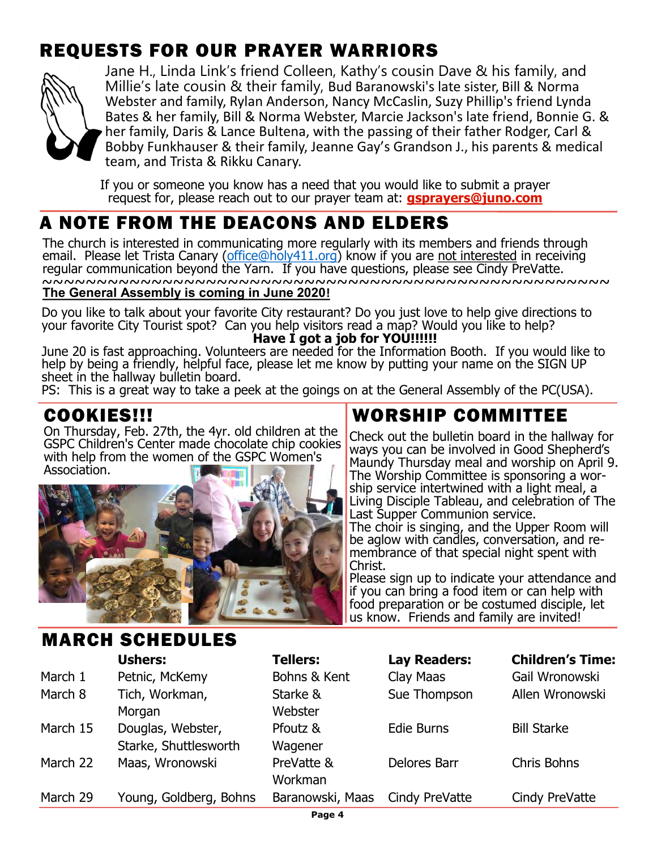# REQUESTS FOR OUR PRAYER WARRIORS



Jane H., Linda Link's friend Colleen, Kathy's cousin Dave & his family, and Millie's late cousin & their family, Bud Baranowski's late sister, Bill & Norma Webster and family, Rylan Anderson, Nancy McCaslin, Suzy Phillip's friend Lynda Bates & her family, Bill & Norma Webster, Marcie Jackson's late friend, Bonnie G. & her family, Daris & Lance Bultena, with the passing of their father Rodger, Carl & Bobby Funkhauser & their family, Jeanne Gay's Grandson J., his parents & medical team, and Trista & Rikku Canary.

If you or someone you know has a need that you would like to submit a prayer request for, please reach out to our prayer team at: **[gsprayers@juno.com](mailto:gsprayers@juno.com)**

# A NOTE FROM THE DEACONS AND ELDERS

The church is interested in communicating more regularly with its members and friends through email. Please let Trista Canary ([office@holy411.org\)](mailto:office@holy411.org) know if you are not interested in receiving regular communication beyond the Yarn. If you have questions, please see Cindy PreVatte. ~~~~~~~~~~~~~~~~~~~~~~~~~~~~~~~~~~~~~~~~~~~~~~~~~~~~ **The General Assembly is coming in June 2020!**

Do you like to talk about your favorite City restaurant? Do you just love to help give directions to your favorite City Tourist spot? Can you help visitors read a map? Would you like to help?  **Have I got a job for YOU!!!!!!**

June 20 is fast approaching. Volunteers are needed for the Information Booth. If you would like to help by being a friendly, helpful face, please let me know by putting your name on the SIGN UP sheet in the hallway bulletin board.

PS: This is a great way to take a peek at the goings on at the General Assembly of the PC(USA).

# COOKIES!!!

On Thursday, Feb. 27th, the 4yr. old children at the GSPC Children's Center made chocolate chip cookies with help from the women of the GSPC Women's Association.



MARCH SCHEDULES

# WORSHIP COMMITTEE

Check out the bulletin board in the hallway for ways you can be involved in Good Shepherd's Maundy Thursday meal and worship on April 9. The Worship Committee is sponsoring a worship service intertwined with a light meal, a Living Disciple Tableau, and celebration of The Last Supper Communion service. The choir is singing, and the Upper Room will be aglow with candles, conversation, and remembrance of that special night spent with Christ.

Please sign up to indicate your attendance and if you can bring a food item or can help with food preparation or be costumed disciple, let us know. Friends and family are invited!

|          | <b>Ushers:</b>         | <b>Tellers:</b>  | <b>Lay Readers:</b> | <b>Children's Time:</b> |
|----------|------------------------|------------------|---------------------|-------------------------|
| March 1  | Petnic, McKemy         | Bohns & Kent     | Clay Maas           | Gail Wronowski          |
| March 8  | Tich, Workman,         | Starke &         | Sue Thompson        | Allen Wronowski         |
|          | Morgan                 | Webster          |                     |                         |
| March 15 | Douglas, Webster,      | Pfoutz &         | <b>Edie Burns</b>   | <b>Bill Starke</b>      |
|          | Starke, Shuttlesworth  | Wagener          |                     |                         |
| March 22 | Maas, Wronowski        | PreVatte &       | <b>Delores Barr</b> | <b>Chris Bohns</b>      |
|          |                        | Workman          |                     |                         |
| March 29 | Young, Goldberg, Bohns | Baranowski, Maas | Cindy PreVatte      | Cindy PreVatte          |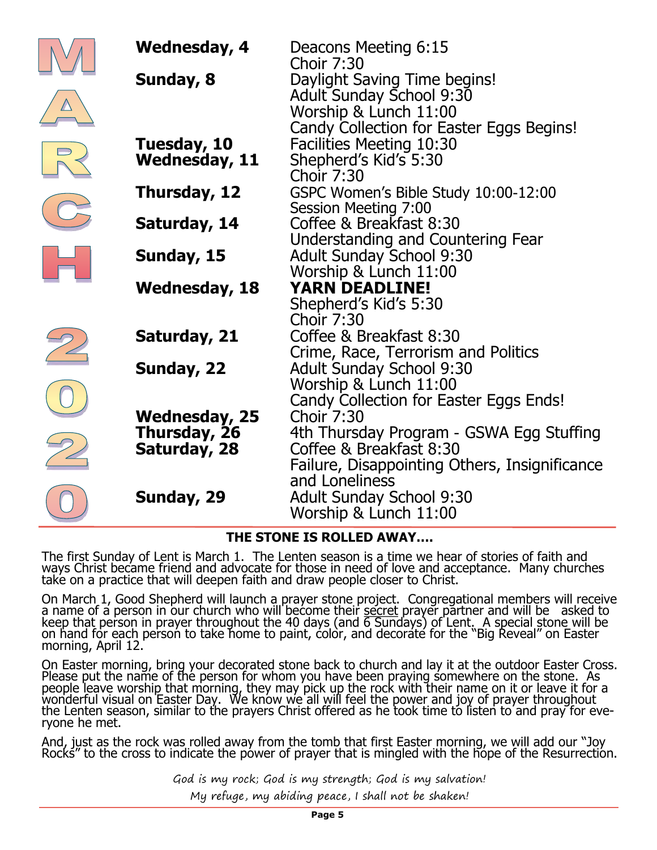| <b>Wednesday, 4</b><br>Sunday, 8                     | Deacons Meeting 6:15<br><b>Choir 7:30</b><br>Daylight Saving Time begins!<br><b>Adult Sunday School 9:30</b><br>Worship & Lunch 11:00<br>Candy Collection for Easter Eggs Begins! |
|------------------------------------------------------|-----------------------------------------------------------------------------------------------------------------------------------------------------------------------------------|
| Tuesday, 10<br><b>Wednesday, 11</b>                  | <b>Facilities Meeting 10:30</b><br>Shepherd's Kid's 5:30<br><b>Choir 7:30</b>                                                                                                     |
| Thursday, 12                                         | GSPC Women's Bible Study 10:00-12:00<br><b>Session Meeting 7:00</b><br>Coffee & Breakfast 8:30                                                                                    |
| Saturday, 14<br>Sunday, 15                           | Understanding and Countering Fear<br><b>Adult Sunday School 9:30</b>                                                                                                              |
| <b>Wednesday, 18</b>                                 | Worship & Lunch 11:00<br><b>YARN DEADLINE!</b><br>Shepherd's Kid's 5:30                                                                                                           |
| Saturday, 21                                         | <b>Choir 7:30</b><br>Coffee & Breakfast 8:30<br>Crime, Race, Terrorism and Politics                                                                                               |
| Sunday, 22                                           | <b>Adult Sunday School 9:30</b><br>Worship & Lunch 11:00<br>Candy Collection for Easter Eggs Ends!                                                                                |
| <b>Wednesday, 25</b><br>Thursday, 26<br>Saturday, 28 | <b>Choir 7:30</b><br>4th Thursday Program - GSWA Egg Stuffing<br>Coffee & Breakfast 8:30<br>Failure, Disappointing Others, Insignificance                                         |
| Sunday, 29                                           | and Loneliness<br><b>Adult Sunday School 9:30</b><br>Worship & Lunch 11:00                                                                                                        |

### **THE STONE IS ROLLED AWAY….**

The first Sunday of Lent is March 1. The Lenten season is a time we hear of stories of faith and ways Christ became friend and advocate for those in need of love and acceptance. Many churches take on a practice that will deepen faith and draw people closer to Christ.

On March 1, Good Shepherd will launch a prayer stone project. Congregational members will receive a name of a person in our church who will become their secret prayer partner and will be asked to keep that person in prayer throughout the 40 days (and 6 Sundays) of Lent. A special stone will be on hand for each person to take home to paint, color, and decorate for the "Big Reveal" on Easter morning, April 12.

On Easter morning, bring your decorated stone back to church and lay it at the outdoor Easter Cross. Please put the name of the person for whom you have been praying somewhere on the stone. As people leave worship that morning, they may pick up the rock with their name on it or leave it for a wonderful visual on Easter Day. We know we all will feel the power and joy of prayer throughout the Lenten season, similar to the prayers Christ offered as he took time to listen to and pray for everyone he met.

And, just as the rock was rolled away from the tomb that first Easter morning, we will add our "Joy Rocks" to the cross to indicate the power of prayer that is mingled with the hope of the Resurrection.

> God is my rock; God is my strength; God is my salvation! My refuge, my abiding peace, I shall not be shaken!